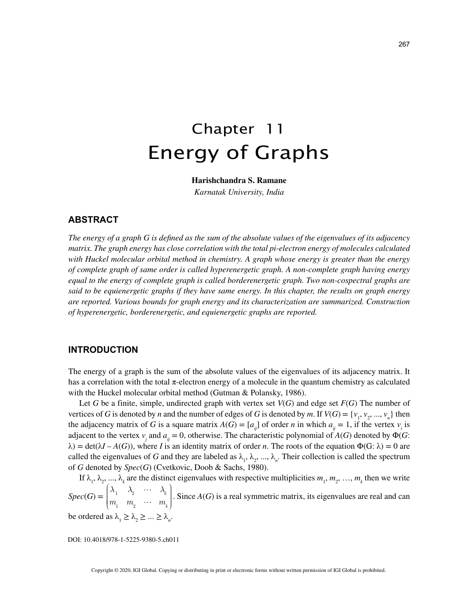# Chapter 11 Energy of Graphs

## **Harishchandra S. Ramane**

*Karnatak University, India*

## **ABSTRACT**

*The energy of a graph G is defined as the sum of the absolute values of the eigenvalues of its adjacency matrix. The graph energy has close correlation with the total pi-electron energy of molecules calculated with Huckel molecular orbital method in chemistry. A graph whose energy is greater than the energy of complete graph of same order is called hyperenergetic graph. A non-complete graph having energy equal to the energy of complete graph is called borderenergetic graph. Two non-cospectral graphs are said to be equienergetic graphs if they have same energy. In this chapter, the results on graph energy are reported. Various bounds for graph energy and its characterization are summarized. Construction of hyperenergetic, borderenergetic, and equienergetic graphs are reported.*

## **INTRODUCTION**

The energy of a graph is the sum of the absolute values of the eigenvalues of its adjacency matrix. It has a correlation with the total  $\pi$ -electron energy of a molecule in the quantum chemistry as calculated with the Huckel molecular orbital method (Gutman & Polansky, 1986).

Let *G* be a finite, simple, undirected graph with vertex set  $V(G)$  and edge set  $F(G)$  The number of vertices of *G* is denoted by *n* and the number of edges of *G* is denoted by *m*. If  $V(G) = \{v_1, v_2, ..., v_n\}$  then the adjacency matrix of *G* is a square matrix  $A(G) = [a_{ij}]$  of order *n* in which  $a_{ij} = 1$ , if the vertex  $v_i$  is adjacent to the vertex  $v_j$  and  $a_{ij} = 0$ , otherwise. The characteristic polynomial of  $A(G)$  denoted by  $\Phi(G;$  $\lambda$ ) = det( $\lambda$ *I* – *A*(*G*)), where *I* is an identity matrix of order *n*. The roots of the equation  $\Phi$ (G:  $\lambda$ ) = 0 are called the eigenvalues of *G* and they are labeled as  $\lambda_1, \lambda_2, ..., \lambda_n$ . Their collection is called the spectrum of *G* denoted by *Spec*(*G*) (Cvetkovic, Doob & Sachs, 1980).

If  $\lambda_1, \lambda_2, ..., \lambda_k$  are the distinct eigenvalues with respective multiplicities  $m_1, m_2, ..., m_k$  then we write  $Spec(G) = \begin{bmatrix} \lambda_1 & \lambda_2 & \cdots & \lambda_n \end{bmatrix}$  $\cdots_{2}$  $\cdots$  $\cdots$ *k*  $m_1$   $m_2$   $\cdots$   $m_k$  $\left($  $\overline{\mathcal{L}}$  $\overline{\phantom{a}}$  $\overline{\phantom{a}}$  $\big)$ Since  $A(G)$  is a real symmetric matrix, its eigenvalues are real and can be ordered as  $\lambda_1 \geq \lambda_2 \geq ... \geq \lambda_n$ .

DOI: 10.4018/978-1-5225-9380-5.ch011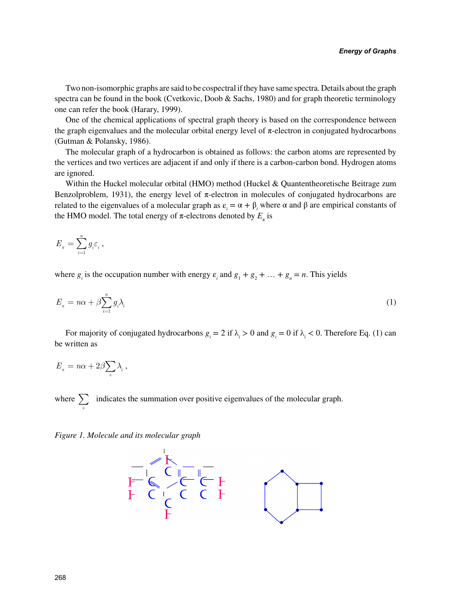Two non-isomorphic graphs are said to be cospectral if they have same spectra. Details about the graph spectra can be found in the book (Cvetkovic, Doob & Sachs, 1980) and for graph theoretic terminology one can refer the book (Harary, 1999).

One of the chemical applications of spectral graph theory is based on the correspondence between the graph eigenvalues and the molecular orbital energy level of  $\pi$ -electron in conjugated hydrocarbons (Gutman & Polansky, 1986).

The molecular graph of a hydrocarbon is obtained as follows: the carbon atoms are represented by the vertices and two vertices are adjacent if and only if there is a carbon-carbon bond. Hydrogen atoms are ignored.

Within the Huckel molecular orbital (HMO) method (Huckel & Quantentheoretische Beitrage zum Benzolproblem, 1931), the energy level of  $\pi$ -electron in molecules of conjugated hydrocarbons are related to the eigenvalues of a molecular graph as  $\varepsilon_i = \alpha + \beta_i$ , where  $\alpha$  and  $\beta$  are empirical constants of the HMO model. The total energy of  $\pi$ -electrons denoted by  $E_{\pi}$  is

$$
E_{_{\pi}}=\sum_{\mathnormal{i}=1}^{n}g_{_{\mathnormal{i}}}\varepsilon_{_{\mathnormal{i}}}\,,
$$

where  $g_i$  is the occupation number with energy  $\varepsilon_i$  and  $g_1 + g_2 + \ldots + g_n = n$ . This yields

$$
E_{\pi} = n\alpha + \beta \sum_{i=1}^{n} g_i \lambda_i \tag{1}
$$

For majority of conjugated hydrocarbons  $g_i = 2$  if  $\lambda_i > 0$  and  $g_i = 0$  if  $\lambda_i < 0$ . Therefore Eq. (1) can be written as

$$
E_{_{\pi}}=n\alpha+2\beta{\sum_{^{+}}\lambda_{_{i}}}\ ,
$$

where  $\sum_{+}$  indicates the summation over positive eigenvalues of the molecular graph.

*Figure 1. Molecule and its molecular graph*